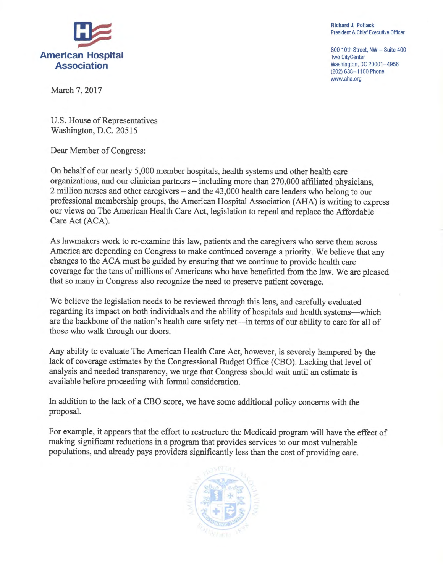

Richard J. Pollack President & Chief Executive Officer

800 10th Street, NW - Suite 400 <sup>T</sup>wo CityCenter Washington, DC 20001-4956 (202) 638-1100 Phone <sup>w</sup>ww.aha.org

March 7, 2017

U.S. House of Representatives Washington, D.C. 20515

<sup>D</sup>ear Member of Congress:

<sup>O</sup>n behalf of our nearly 5,000 member hospitals, health systems and other health care <sup>o</sup>rganizations, and our clinician partners —including more than 270,000 affiliated physicians, <sup>2</sup>million nurses and other caregivers —and the 43,000 health care leaders who belong to our <sup>p</sup>rofessional membership groups, the American Hospital Association (AHA) is writing to express <sup>o</sup>ur views on The American Health Care Act, legislation to repeal and replace the Affordable Care Act (ACA).

<sup>A</sup>s lawmakers work to re-examine this law, patients and the caregivers who serve them across <sup>A</sup>merica are depending on Congress to make continued coverage a priority. We believe that any <sup>c</sup>hanges to the ACA must be guided by ensuring that we continue to provide health care <sup>c</sup>overage for the tens of millions of Americans who have benefitted from the law. We are pleased <sup>t</sup>hat so many in Congress also recognize the need to preserve patient coverage.

<sup>W</sup>e believe the legislation needs to be reviewed through this lens, and carefully evaluated regarding its impact on both individuals and the ability of hospitals and health systems—which are the backbone of the nation's health care safety net—in terms of our ability to care for all of those who walk through our doors.

<sup>A</sup>ny ability to evaluate The American Health Care Act, however, is severely hampered by the <sup>l</sup>ack of coverage estimates by the Congressional Budget Office (CBO). Lacking that level of <sup>a</sup>nalysis and needed transparency, we urge that Congress should. wait until an estimate is <sup>a</sup>vailable before proceeding with formal consideration.

<sup>I</sup>n addition to the lack of a CBO score, we have some additional policy concerns with the proposal.

<sup>F</sup>or example, it appears that the effort to restructure the Medicaid program will have the effect of making significant reductions in a program that provides services to our most vulnerable <sup>p</sup>opulations, and already pays providers significantly less than the cost of providing care.